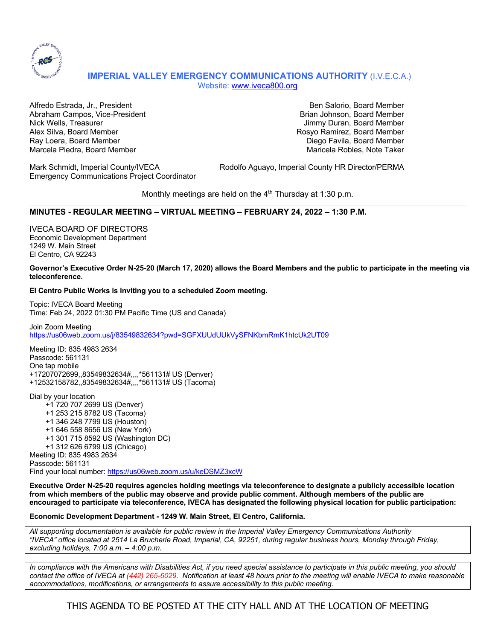

# **IMPERIAL VALLEY EMERGENCY COMMUNICATIONS AUTHORITY** (I.V.E.C.A.) Website: www.iveca800.org

Alfredo Estrada, Jr., President Ben Salorio, Board Member Abraham Campos, Vice-President Brian Johnson, Board Member Brian Johnson, Board Member Nick Wells, Treasurer **Jimmy Duran, Board Member** Jimmy Duran, Board Member Alex Silva, Board Member Rosyo Ramirez, Board Member Ray Loera, Board Member New York Channels and Diego Favila, Board Member New York Channels and Diego Favila, Board Member Marcela Piedra, Board Member Maricela Robles, Note Taker

Emergency Communications Project Coordinator

Mark Schmidt, Imperial County/IVECA Rodolfo Aguayo, Imperial County HR Director/PERMA

Monthly meetings are held on the  $4<sup>th</sup>$  Thursday at 1:30 p.m.

## **MINUTES - REGULAR MEETING – VIRTUAL MEETING – FEBRUARY 24, 2022 – 1:30 P.M.**

IVECA BOARD OF DIRECTORS Economic Development Department 1249 W. Main Street El Centro, CA 92243

**Governor's Executive Order N-25-20 (March 17, 2020) allows the Board Members and the public to participate in the meeting via teleconference.**

### **El Centro Public Works is inviting you to a scheduled Zoom meeting.**

Topic: IVECA Board Meeting Time: Feb 24, 2022 01:30 PM Pacific Time (US and Canada)

Join Zoom Meeting https://us06web.zoom.us/j/83549832634?pwd=SGFXUUdUUkVySFNKbmRmK1htcUk2UT09

Meeting ID: 835 4983 2634 Passcode: 561131 One tap mobile +17207072699,,83549832634#,,,,\*561131# US (Denver) +12532158782,,83549832634#,,,,\*561131# US (Tacoma)

Dial by your location +1 720 707 2699 US (Denver) +1 253 215 8782 US (Tacoma) +1 346 248 7799 US (Houston) +1 646 558 8656 US (New York) +1 301 715 8592 US (Washington DC) +1 312 626 6799 US (Chicago) Meeting ID: 835 4983 2634 Passcode: 561131 Find your local number: https://us06web.zoom.us/u/keDSMZ3xcW

**Executive Order N-25-20 requires agencies holding meetings via teleconference to designate a publicly accessible location from which members of the public may observe and provide public comment. Although members of the public are encouraged to participate via teleconference, IVECA has designated the following physical location for public participation:**

#### **Economic Development Department - 1249 W. Main Street, El Centro, California.**

*All supporting documentation is available for public review in the Imperial Valley Emergency Communications Authority "IVECA" office located at 2514 La Brucherie Road, Imperial, CA, 92251, during regular business hours, Monday through Friday, excluding holidays, 7:00 a.m. – 4:00 p.m.*

*In compliance with the Americans with Disabilities Act, if you need special assistance to participate in this public meeting, you should contact the office of IVECA at (442) 265-6029. Notification at least 48 hours prior to the meeting will enable IVECA to make reasonable accommodations, modifications, or arrangements to assure accessibility to this public meeting.*

THIS AGENDA TO BE POSTED AT THE CITY HALL AND AT THE LOCATION OF MEETING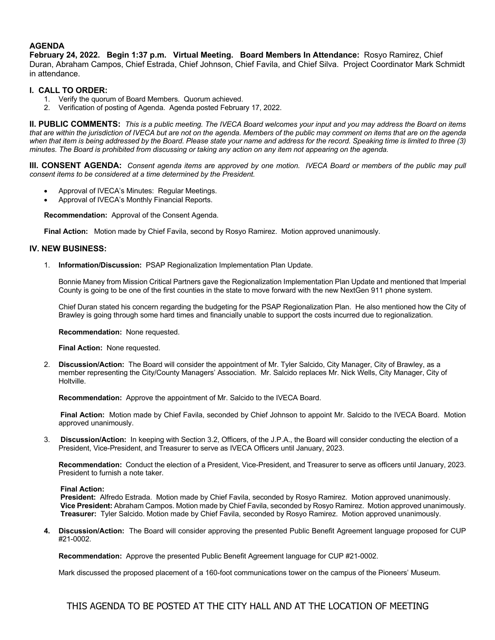## **AGENDA**

**February 24, 2022. Begin 1:37 p.m. Virtual Meeting. Board Members In Attendance:** Rosyo Ramirez, Chief Duran, Abraham Campos, Chief Estrada, Chief Johnson, Chief Favila, and Chief Silva. Project Coordinator Mark Schmidt in attendance.

## **I. CALL TO ORDER:**

- 1. Verify the quorum of Board Members. Quorum achieved.
- 2. Verification of posting of Agenda. Agenda posted February 17, 2022.

**II. PUBLIC COMMENTS:** *This is a public meeting. The IVECA Board welcomes your input and you may address the Board on items*  that are within the jurisdiction of IVECA but are not on the agenda. Members of the public may comment on items that are on the agenda *when that item is being addressed by the Board. Please state your name and address for the record. Speaking time is limited to three (3) minutes. The Board is prohibited from discussing or taking any action on any item not appearing on the agenda.* 

**III. CONSENT AGENDA:** *Consent agenda items are approved by one motion. IVECA Board or members of the public may pull consent items to be considered at a time determined by the President.*

- Approval of IVECA's Minutes: Regular Meetings.
- Approval of IVECA's Monthly Financial Reports.

**Recommendation:** Approval of the Consent Agenda.

**Final Action:** Motion made by Chief Favila, second by Rosyo Ramirez. Motion approved unanimously.

### **IV. NEW BUSINESS:**

1. **Information/Discussion:** PSAP Regionalization Implementation Plan Update.

Bonnie Maney from Mission Critical Partners gave the Regionalization Implementation Plan Update and mentioned that Imperial County is going to be one of the first counties in the state to move forward with the new NextGen 911 phone system.

Chief Duran stated his concern regarding the budgeting for the PSAP Regionalization Plan. He also mentioned how the City of Brawley is going through some hard times and financially unable to support the costs incurred due to regionalization.

**Recommendation:** None requested.

**Final Action:** None requested.

2. **Discussion/Action:** The Board will consider the appointment of Mr. Tyler Salcido, City Manager, City of Brawley, as a member representing the City/County Managers' Association. Mr. Salcido replaces Mr. Nick Wells, City Manager, City of Holtville.

**Recommendation:** Approve the appointment of Mr. Salcido to the IVECA Board.

**Final Action:** Motion made by Chief Favila, seconded by Chief Johnson to appoint Mr. Salcido to the IVECA Board. Motion approved unanimously.

3. **Discussion/Action:** In keeping with Section 3.2, Officers, of the J.P.A., the Board will consider conducting the election of a President, Vice-President, and Treasurer to serve as IVECA Officers until January, 2023.

**Recommendation:** Conduct the election of a President, Vice-President, and Treasurer to serve as officers until January, 2023. President to furnish a note taker.

#### **Final Action:**

**President:** Alfredo Estrada. Motion made by Chief Favila, seconded by Rosyo Ramirez. Motion approved unanimously. **Vice President:** Abraham Campos. Motion made by Chief Favila, seconded by Rosyo Ramirez. Motion approved unanimously. **Treasurer:** Tyler Salcido. Motion made by Chief Favila, seconded by Rosyo Ramirez. Motion approved unanimously.

**4. Discussion/Action:** The Board will consider approving the presented Public Benefit Agreement language proposed for CUP #21-0002.

**Recommendation:** Approve the presented Public Benefit Agreement language for CUP #21-0002.

Mark discussed the proposed placement of a 160-foot communications tower on the campus of the Pioneers' Museum.